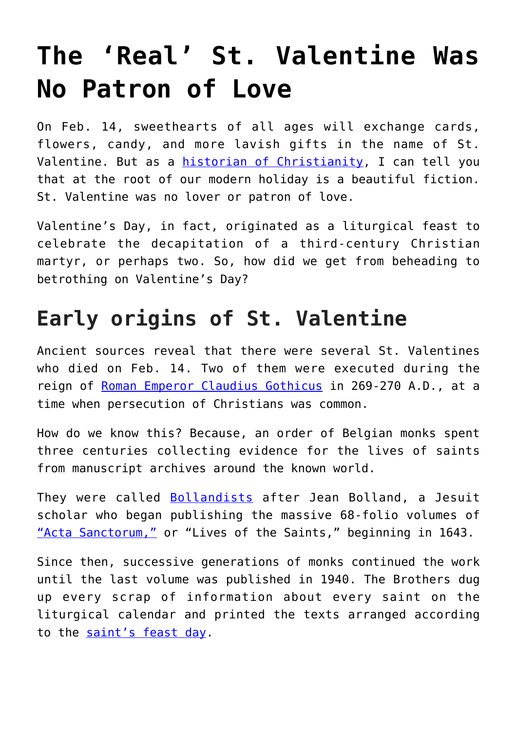# **[The 'Real' St. Valentine Was](https://intellectualtakeout.org/2018/02/the-real-st-valentine-was-no-patron-of-love/) [No Patron of Love](https://intellectualtakeout.org/2018/02/the-real-st-valentine-was-no-patron-of-love/)**

On Feb. 14, sweethearts of all ages will exchange cards, flowers, candy, and more lavish gifts in the name of St. Valentine. But as a [historian of Christianity](https://dornsife.usc.edu/bitel-homepage/), I can tell you that at the root of our modern holiday is a beautiful fiction. St. Valentine was no lover or patron of love.

Valentine's Day, in fact, originated as a liturgical feast to celebrate the decapitation of a third-century Christian martyr, or perhaps two. So, how did we get from beheading to betrothing on Valentine's Day?

## **Early origins of St. Valentine**

Ancient sources reveal that there were several St. Valentines who died on Feb. 14. Two of them were executed during the reign of [Roman Emperor Claudius Gothicus](https://archive.org/stream/scriptoreshistor01camb/scriptoreshistor01camb_djvu.txt) in 269-270 A.D., at a time when persecution of Christians was common.

How do we know this? Because, an order of Belgian monks spent three centuries collecting evidence for the lives of saints from manuscript archives around the known world.

They were called **[Bollandists](http://www.bollandistes.org/thebollandists-hist0.php?pg=hist00)** after Jean Bolland, a Jesuit scholar who began publishing the massive 68-folio volumes of ["Acta Sanctorum,"](http://acta.chadwyck.co.uk/) or "Lives of the Saints," beginning in 1643.

Since then, successive generations of monks continued the work until the last volume was published in 1940. The Brothers dug up every scrap of information about every saint on the liturgical calendar and printed the texts arranged according to the [saint's feast day.](http://saintscatholic.blogspot.com/p/saint-of-day.html)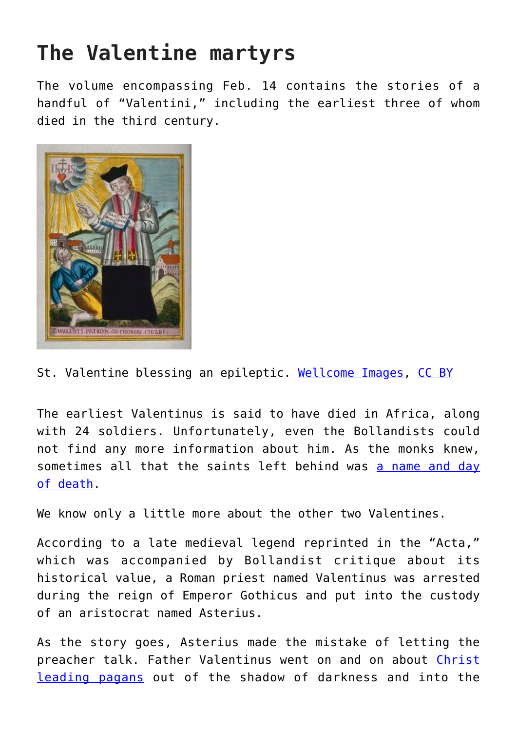## **The Valentine martyrs**

The volume encompassing Feb. 14 contains the stories of a handful of "Valentini," including the earliest three of whom died in the third century.



St. Valentine blessing an epileptic. [Wellcome Images](https://commons.wikimedia.org/wiki/File:Saint_Valentine_blessing_an_epileptic._Coloured_etching._Wellcome_V0016605.jpg), [CC BY](http://creativecommons.org/licenses/by/4.0/)

The earliest Valentinus is said to have died in Africa, along with 24 soldiers. Unfortunately, even the Bollandists could not find any more information about him. As the monks knew, sometimes all that the saints left behind was [a name and day](https://archive.org/stream/actasanctorum05unse#page/762/mode/2up/search/valentinus) [of death.](https://archive.org/stream/actasanctorum05unse#page/762/mode/2up/search/valentinus)

We know only a little more about the other two Valentines.

According to a late medieval legend reprinted in the "Acta," which was accompanied by Bollandist critique about its historical value, a Roman priest named Valentinus was arrested during the reign of Emperor Gothicus and put into the custody of an aristocrat named Asterius.

As the story goes, Asterius made the mistake of letting the preacher talk. Father Valentinus went on and on about [Christ](https://archive.org/stream/actasanctorum05unse#page/754/mode/2up/search/valentinus) [leading pagans](https://archive.org/stream/actasanctorum05unse#page/754/mode/2up/search/valentinus) out of the shadow of darkness and into the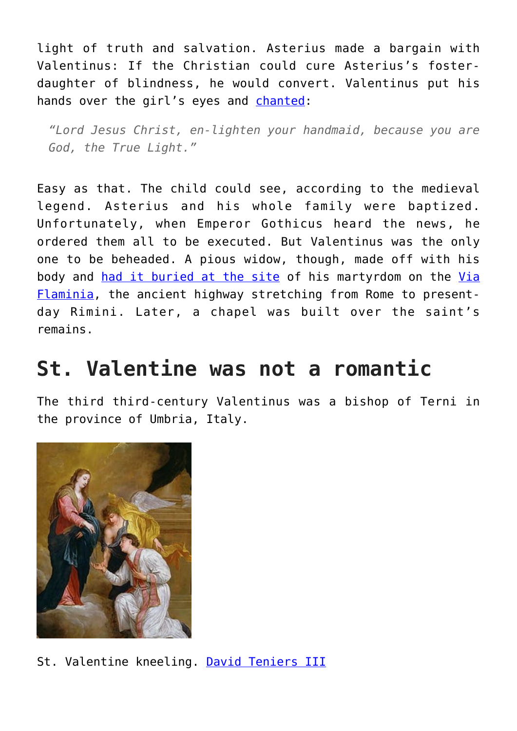light of truth and salvation. Asterius made a bargain with Valentinus: If the Christian could cure Asterius's fosterdaughter of blindness, he would convert. Valentinus put his hands over the girl's eyes and [chanted](https://archive.org/stream/actasanctorum05unse#page/754/mode/2up/search/valentinus):

*"Lord Jesus Christ, en-lighten your handmaid, because you are God, the True Light."*

Easy as that. The child could see, according to the medieval legend. Asterius and his whole family were baptized. Unfortunately, when Emperor Gothicus heard the news, he ordered them all to be executed. But Valentinus was the only one to be beheaded. A pious widow, though, made off with his body and [had it buried at the site](https://archive.org/stream/actasanctorum05unse#page/754/mode/2up/search/valentinus) of his martyrdom on the [Via](http://penelope.uchicago.edu/Thayer/E/Gazetteer/Periods/Roman/Topics/Engineering/roads/Flaminia/home.html) [Flaminia](http://penelope.uchicago.edu/Thayer/E/Gazetteer/Periods/Roman/Topics/Engineering/roads/Flaminia/home.html), the ancient highway stretching from Rome to presentday Rimini. Later, a chapel was built over the saint's remains.

#### **St. Valentine was not a romantic**

The third third-century Valentinus was a bishop of Terni in the province of Umbria, Italy.



St. Valentine kneeling. [David Teniers III](https://commons.wikimedia.org/wiki/File:St-Valentine-Kneeling-In-Supplication.jpg)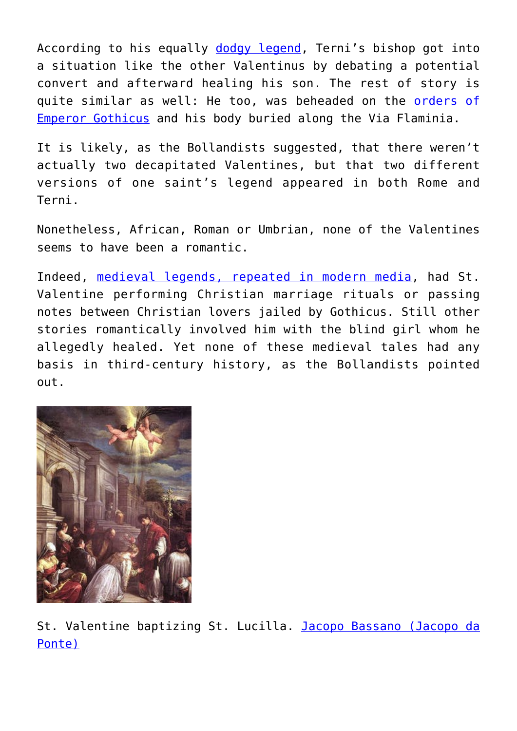According to his equally [dodgy legend,](https://archive.org/stream/actasanctorum05unse#page/754/mode/2up/search/valentinus) Terni's bishop got into a situation like the other Valentinus by debating a potential convert and afterward healing his son. The rest of story is quite similar as well: He too, was beheaded on the [orders of](http://www.newadvent.org/cathen/15254a.htm) [Emperor Gothicus](http://www.newadvent.org/cathen/15254a.htm) and his body buried along the Via Flaminia.

It is likely, as the Bollandists suggested, that there weren't actually two decapitated Valentines, but that two different versions of one saint's legend appeared in both Rome and Terni.

Nonetheless, African, Roman or Umbrian, none of the Valentines seems to have been a romantic.

Indeed, [medieval legends, repeated in modern media](https://www.thoughtco.com/st-valentine-patron-saint-of-love-124544), had St. Valentine performing Christian marriage rituals or passing notes between Christian lovers jailed by Gothicus. Still other stories romantically involved him with the blind girl whom he allegedly healed. Yet none of these medieval tales had any basis in third-century history, as the Bollandists pointed out.



St. Valentine baptizing St. Lucilla. [Jacopo Bassano \(Jacopo da](https://commons.wikimedia.org/wiki/File:St-valentine-baptizing-st-lucilla-jacopo-bassano.jpg) [Ponte\)](https://commons.wikimedia.org/wiki/File:St-valentine-baptizing-st-lucilla-jacopo-bassano.jpg)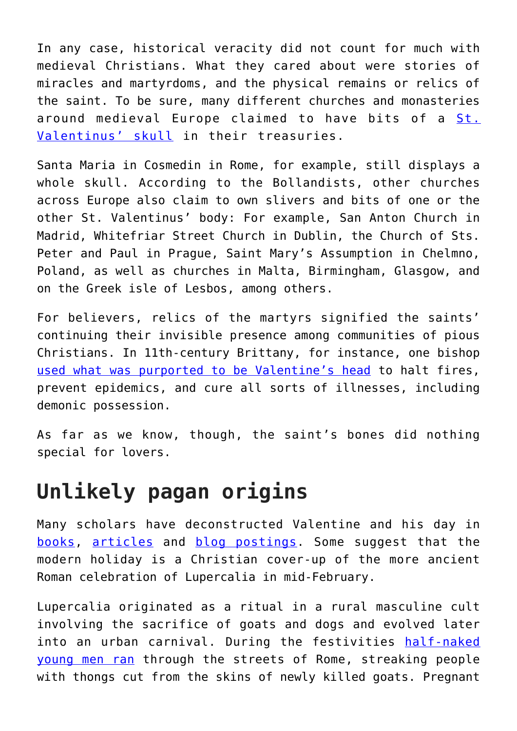In any case, historical veracity did not count for much with medieval Christians. What they cared about were stories of miracles and martyrdoms, and the physical remains or relics of the saint. To be sure, many different churches and monasteries around medieval Europe claimed to have bits of a [St.](https://archive.org/stream/actasanctorum05unse#page/758/mode/2up/search/valentinus) [Valentinus' skull](https://archive.org/stream/actasanctorum05unse#page/758/mode/2up/search/valentinus) in their treasuries.

Santa Maria in Cosmedin in Rome, for example, still displays a whole skull. According to the Bollandists, other churches across Europe also claim to own slivers and bits of one or the other St. Valentinus' body: For example, San Anton Church in Madrid, Whitefriar Street Church in Dublin, the Church of Sts. Peter and Paul in Prague, Saint Mary's Assumption in Chelmno, Poland, as well as churches in Malta, Birmingham, Glasgow, and on the Greek isle of Lesbos, among others.

For believers, relics of the martyrs signified the saints' continuing their invisible presence among communities of pious Christians. In 11th-century Brittany, for instance, one bishop [used what was purported to be Valentine's head](https://archive.org/stream/actasanctorum05unse#page/760/mode/2up/search/valentinus) to halt fires, prevent epidemics, and cure all sorts of illnesses, including demonic possession.

As far as we know, though, the saint's bones did nothing special for lovers.

#### **Unlikely pagan origins**

Many scholars have deconstructed Valentine and his day in [books,](https://books.google.com/books?id=_bqdZbKPztMC) [articles](https://doi.org/10.2307/2847741) and [blog postings](http://www.sfgate.com/entertainment/morford/article/Whip-My-Roman-Sex-Gods-You-want-the-true-2634133.php). Some suggest that the modern holiday is a Christian cover-up of the more ancient Roman celebration of Lupercalia in mid-February.

Lupercalia originated as a ritual in a rural masculine cult involving the sacrifice of goats and dogs and evolved later into an urban carnival. During the festivities [half-naked](http://penelope.uchicago.edu/Thayer/e/roman/texts/plutarch/lives/caesar*.html) [young men ran](http://penelope.uchicago.edu/Thayer/e/roman/texts/plutarch/lives/caesar*.html) through the streets of Rome, streaking people with thongs cut from the skins of newly killed goats. Pregnant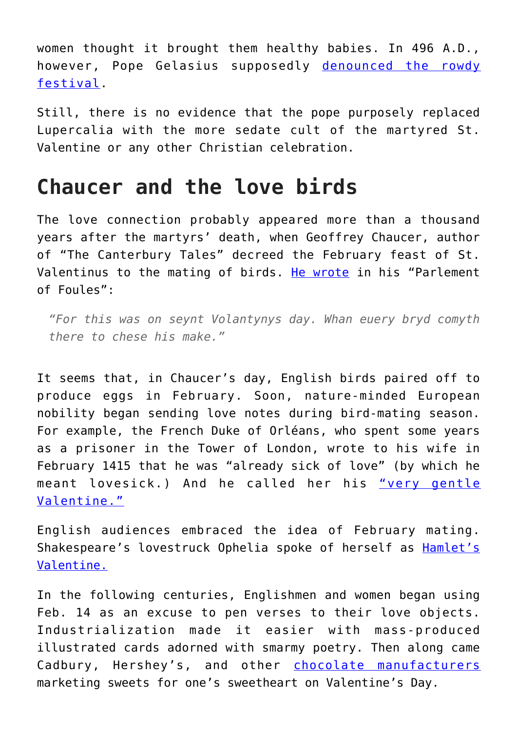women thought it brought them healthy babies. In 496 A.D., however, Pope Gelasius supposedly [denounced the rowdy](http://penelope.uchicago.edu/Thayer/E/Journals/CP/26/1/Lupercalia*.html#ref9) [festival.](http://penelope.uchicago.edu/Thayer/E/Journals/CP/26/1/Lupercalia*.html#ref9)

Still, there is no evidence that the pope purposely replaced Lupercalia with the more sedate cult of the martyred St. Valentine or any other Christian celebration.

#### **Chaucer and the love birds**

The love connection probably appeared more than a thousand years after the martyrs' death, when Geoffrey Chaucer, author of "The Canterbury Tales" decreed the February feast of St. Valentinus to the mating of birds. [He wrote](https://books.google.com/books?id=6bggAAAAMAAJ&pg=PA57&lpg=PA57&dq=seynt+Volantynys+day&source=bl&ots=RazATk9FPU&sig=P18rLlniPQEToUWVCL8jD9lv-gI&hl=en&sa=X&ved=0ahUKEwjf9c6v2ZXZAhWS-VQKHQuuCCIQ6AEIKTAA#v=onepage&q=seynt%20Volantynys%20day&f=false) in his "Parlement of Foules":

*"For this was on seynt Volantynys day. Whan euery bryd comyth there to chese his make."*

It seems that, in Chaucer's day, English birds paired off to produce eggs in February. Soon, nature-minded European nobility began sending love notes during bird-mating season. For example, the French Duke of Orléans, who spent some years as a prisoner in the Tower of London, wrote to his wife in February 1415 that he was "already sick of love" (by which he meant lovesick.) And he called her his ["very gentle](http://www.gutenberg.org/files/14343/14343-h/14343-h.htm#p245) [Valentine."](http://www.gutenberg.org/files/14343/14343-h/14343-h.htm#p245)

English audiences embraced the idea of February mating. Shakespeare's lovestruck Ophelia spoke of herself as [Hamlet's](http://shakespeare-navigators.com/hamlet/H45.html) [Valentine.](http://shakespeare-navigators.com/hamlet/H45.html)

In the following centuries, Englishmen and women began using Feb. 14 as an excuse to pen verses to their love objects. Industrialization made it easier with mass-produced illustrated cards adorned with smarmy poetry. Then along came Cadbury, Hershey's, and other [chocolate manufacturers](https://www.smithsonianmag.com/smithsonian-institution/how-chocolate-and-valentines-day-mated-life-180954228/) marketing sweets for one's sweetheart on Valentine's Day.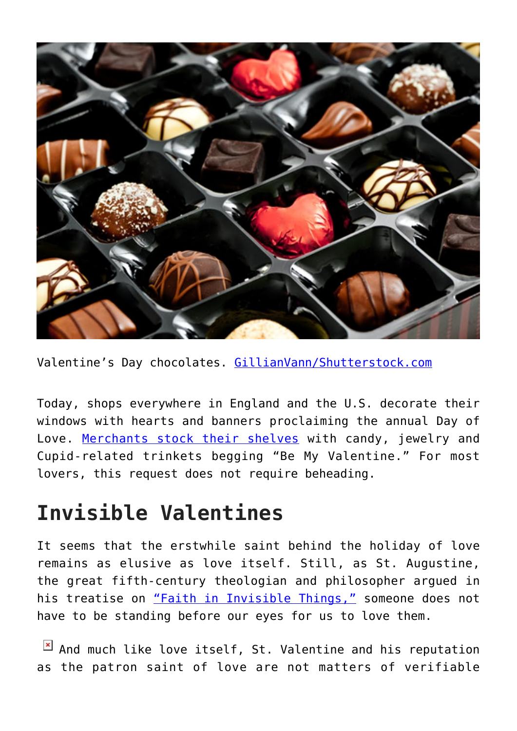

Valentine's Day chocolates. [GillianVann/Shutterstock.com](https://www.shutterstock.com/image-photo/chocolates-box-red-love-heart-shaped-123648574?src=keC4YCiCasMhWRf-oQMMDQ-1-20)

Today, shops everywhere in England and the U.S. decorate their windows with hearts and banners proclaiming the annual Day of Love. [Merchants stock their shelves](https://www.dealnews.com/features/What-to-Expect-from-Valentines-Day-Deals/967905.html) with candy, jewelry and Cupid-related trinkets begging "Be My Valentine." For most lovers, this request does not require beheading.

### **Invisible Valentines**

It seems that the erstwhile saint behind the holiday of love remains as elusive as love itself. Still, as St. Augustine, the great fifth-century theologian and philosopher argued in his treatise on ["Faith in Invisible Things,"](http://www.newadvent.org/fathers/1305.htm) someone does not have to be standing before our eyes for us to love them.

 $\boxed{\times}$  And much like love itself, St. Valentine and his reputation as the patron saint of love are not matters of verifiable